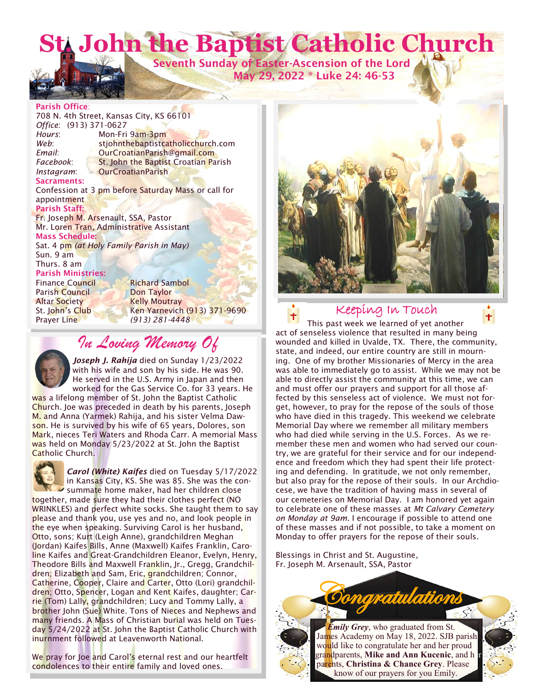**St. John the Baptist Catholic Church**

 **Seventh Sunday of Easter-Ascension of the Lord May 29, 2022 \* Luke 24: 46-53**

#### **Parish Office**:

708 N. 4th Street, Kansas City, KS 66101 *Office*: (913) 371-0627 *Hours*: Mon-Fri 9am-3pm Web: stjohnthebaptistcatholicchurch.com **Email:** OurCroatianParish@gmail.com Facebook: St. John the Baptist Croatian Parish *Instagram*: OurCroatianParish **Sacraments:** Confession at 3 pm before Saturday Mass or call for appointment **Parish Staff:** Fr. Joseph M. Arsenault, SSA, Pastor Mr. Loren Tran, Administrative Assistant **Mass Schedule:**  Sat. 4 pm *(at Holy Family Parish in May)* Sun. 9 am Thurs. 8 am **Parish Ministries:** Finance Council Richard Sambol Parish Council Don Taylor Altar Society Kelly Moutray St. John's Club Ken Yarnevich (913) 371-9690 Prayer Line *(913) 281-4448*

# *In Loving Memory Of*

*Joseph J. Rahija* died on Sunday 1/23/2022 with his wife and son by his side. He was 90. He served in the U.S. Army in Japan and then worked for the Gas Service Co. for 33 years. He

was a lifelong member of St. John the Baptist Catholic Church. Joe was preceded in death by his parents, Joseph M. and Anna (Yarmek) Rahija, and his sister Velma Dawson. He is survived by his wife of 65 years, Dolores, son Mark, nieces Teri Waters and Rhoda Carr. A memorial Mass was held on Monday 5/23/2022 at St. John the Baptist Catholic Church.

*Carol (White) Kaifes* died on Tuesday 5/17/2022 in Kansas City, KS. She was 85. She was the consummate home maker, had her children close together, made sure they had their clothes perfect (NO WRINKLES) and perfect white socks. She taught them to say

please and thank you, use yes and no, and look people in the eye when speaking. Surviving Carol is her husband, Otto, sons; Kurt (Leigh Anne), grandchildren Meghan (Jordan) Kaifes Bills, Anne (Maxwell) Kaifes Franklin, Caroline Kaifes and Great-Grandchildren Eleanor, Evelyn, Henry, Theodore Bills and Maxwell Franklin, Jr., Gregg, Grandchildren; Elizabeth and Sam, Eric, grandchildren; Connor, Catherine, Cooper, Claire and Carter, Otto (Lori) grandchildren; Otto, Spencer, Logan and Kent Kaifes, daughter; Carrie (Tom) Lally, grandchildren; Lucy and Tommy Lally, a brother John (Sue) White. Tons of Nieces and Nephews and many friends. A Mass of Christian burial was held on Tuesday 5/24/2022 at St. John the Baptist Catholic Church with inurnment followed at Leavenworth National.

We pray for Joe and Carol's eternal rest and our heartfelt condolences to their entire family and loved ones.





Keeping In Touch

This past week we learned of yet another act of senseless violence that resulted in many being wounded and killed in Uvalde, TX. There, the community, state, and indeed, our entire country are still in mourning. One of my brother Missionaries of Mercy in the area was able to immediately go to assist. While we may not be able to directly assist the community at this time, we can and must offer our prayers and support for all those affected by this senseless act of violence. We must not forget, however, to pray for the repose of the souls of those who have died in this tragedy. This weekend we celebrate Memorial Day where we remember all military members who had died while serving in the U.S. Forces. As we remember these men and women who had served our country, we are grateful for their service and for our independence and freedom which they had spent their life protecting and defending. In gratitude, we not only remember, but also pray for the repose of their souls. In our Archdiocese, we have the tradition of having mass in several of our cemeteries on Memorial Day. I am honored yet again to celebrate one of these masses at *Mt Calvary Cemetery on Monday at 9am*. I encourage if possible to attend one of these masses and if not possible, to take a moment on Monday to offer prayers for the repose of their souls.

Blessings in Christ and St. Augustine, Fr. Joseph M. Arsenault, SSA, Pastor